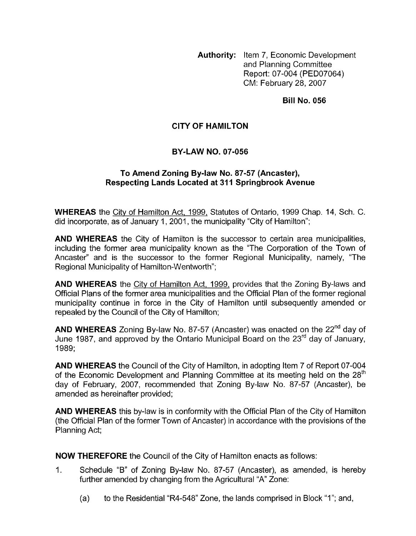**Authority:** Item 7, Economic Development and Planning Committee Report: 07-004 (PED07064) CM: February 28,2007

**Bill No. 056** 

# **CITY OF HAMILTON**

# **BY-LAW NO. 07-056**

## **To Amend Zoning Bylaw No. 87-57 (Ancaster), Respecting Lands Located at 31** I **Springbrook Avenue**

**WHEREAS** the City of Hamilton Act, 1999, Statutes of Ontario, 1999 Chap. 14, Sch. C. did incorporate, as of January 1, 2001, the municipality "City of Hamilton";

**AND WHEREAS** the City of Hamilton is the successor to certain area municipalities, including the former area municipality known as the "The Corporation of the Town of Ancaster" and is the successor to the former Regional Municipality, namely, "The Regional Municipality of Hamilton-Wentworth";

**AND WHEREAS** the City of Hamilton Act, 1999, provides that the Zoning By-laws and Official Plans of the former area municipalities and the Official Plan of the former regional municipality continue in force in the City of Hamilton until subsequently amended or repealed by the Council of the City of Hamilton;

**AND WHEREAS** Zoning By-law No. 87-57 (Ancaster) was enacted on the 22<sup>nd</sup> day of June 1987, and approved by the Ontario Municipal Board on the  $23^{\text{rd}}$  day of January, 1989;

**AND WHEREAS** the Council of the City of Hamilton, in adopting Item 7 of Report 07-004 of the Economic Development and Planning Committee at its meeting held on the  $28<sup>th</sup>$ day of February, 2007, recommended that Zoning By-law No. 87-57 (Ancaster), be amended as hereinafter provided;

**AND WHEREAS** this by-law is in conformity with the Official Plan of the City of Hamilton (the Official Plan of the former Town of Ancaster) in accordance with the provisions of the Planning Act;

**NOW THEREFORE** the Council of the City of Hamilton enacts as follows:

- 1. Schedule "B" of Zoning By-law No. 87-57 (Ancaster), as amended, is hereby further amended by changing from the Agricultural "A" Zone:
	- (a) to the Residential "R4-548" Zone, the lands comprised in Block "I"; and,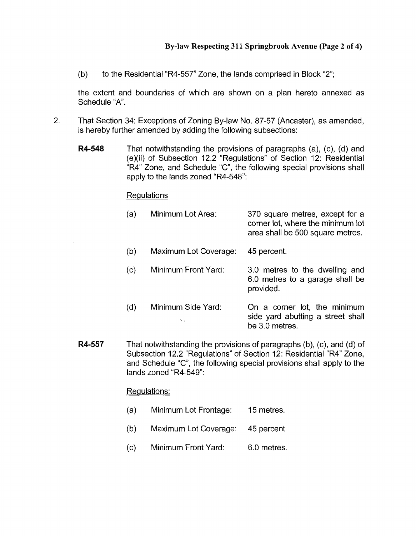(b) to the Residential "R4-557" Zone, the lands comprised in Block "2";

the extent and boundaries of which are shown on a plan hereto annexed as Schedule "A".

- 2. That Section 34: Exceptions of Zoning By-law No. 87-57 (Ancaster), as amended, is hereby further amended by adding the following subsections:
	- **R4-548** That notwithstanding the provisions of paragraphs (a), (c), (d) and (e)(ii) of Subsection 12.2 "Regulations" of Section 12: Residential "R4" Zone, and Schedule "C", the following special provisions shall apply to the lands zoned "R4-548":

#### Requlations

| (a) | Minimum Lot Area:                     | 370 square metres, except for a<br>corner lot, where the minimum lot<br>area shall be 500 square metres. |
|-----|---------------------------------------|----------------------------------------------------------------------------------------------------------|
| (b) | Maximum Lot Coverage:                 | 45 percent.                                                                                              |
| (c) | Minimum Front Yard:                   | 3.0 metres to the dwelling and<br>6.0 metres to a garage shall be<br>provided.                           |
| (d) | Minimum Side Yard:<br>$\mathcal{P}$ : | On a corner lot, the minimum<br>side yard abutting a street shall<br>be 3.0 metres.                      |

**R4-557** That notwithstanding the provisions of paragraphs (b), (c), and (d) of Subsection 12.2 "Regulations" of Section 12: Residential "R4" Zone, and Schedule "C", the following special provisions shall apply to the lands zoned "R4-549":

### Requlations:

- (a) Minimum Lot Frontage: 15 metres.
- (b) Maximum Lot Coverage: 45 percent
- (c) Minimum Front Yard: 6.0 metres.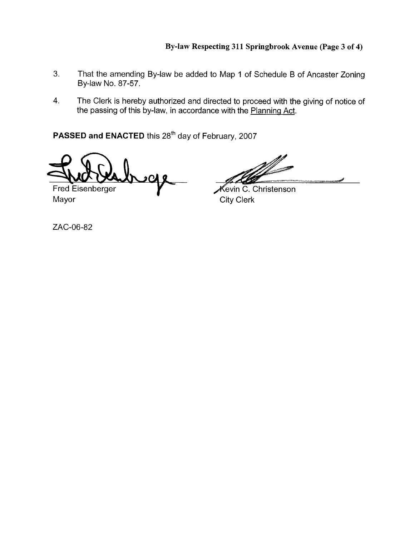- **3.** That the amending By-law be added to Map 1 of Schedule B of Ancaster Zoning By-law No. 87-57.
- **4.** The Clerk is hereby authorized and directed to proceed with the giving of notice of the passing of this by-law, in accordance with the Planninq Act.

PASSED and ENACTED this 28<sup>th</sup> day of February, 2007

)U

Fred Eisenberger Mayor **City Clerk** 

 $\mathscr K$ evin C. Christenson

ZAC-06-82